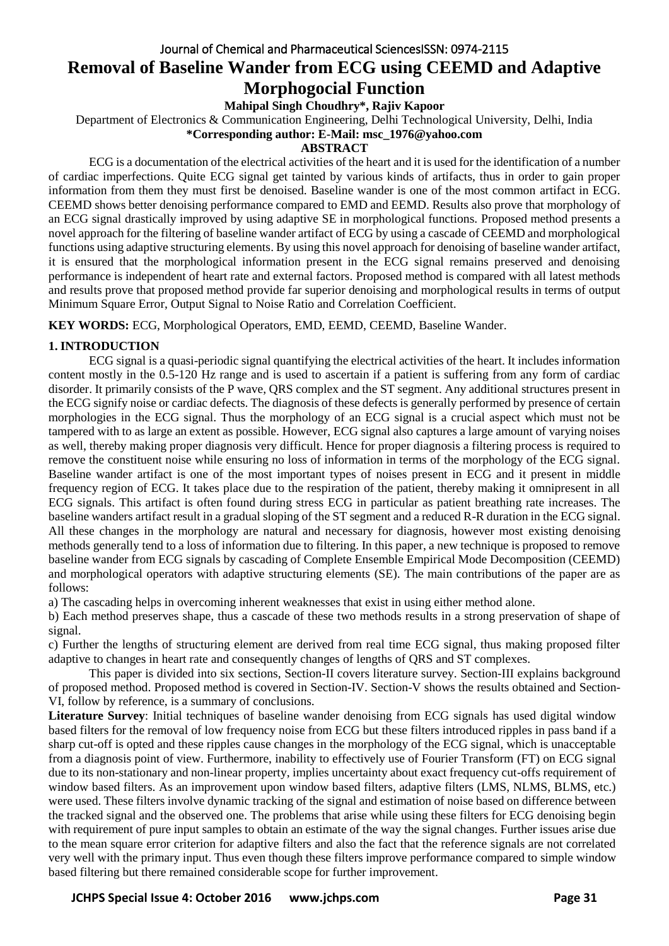# Journal of Chemical and Pharmaceutical SciencesISSN: 0974-2115 **Removal of Baseline Wander from ECG using CEEMD and Adaptive Morphogocial Function**

**Mahipal Singh Choudhry\*, Rajiv Kapoor**

Department of Electronics & Communication Engineering, Delhi Technological University, Delhi, India

**\*Corresponding author: E-Mail: msc\_1976@yahoo.com**

## **ABSTRACT**

ECG is a documentation of the electrical activities of the heart and it is used for the identification of a number of cardiac imperfections. Quite ECG signal get tainted by various kinds of artifacts, thus in order to gain proper information from them they must first be denoised. Baseline wander is one of the most common artifact in ECG. CEEMD shows better denoising performance compared to EMD and EEMD. Results also prove that morphology of an ECG signal drastically improved by using adaptive SE in morphological functions. Proposed method presents a novel approach for the filtering of baseline wander artifact of ECG by using a cascade of CEEMD and morphological functions using adaptive structuring elements. By using this novel approach for denoising of baseline wander artifact, it is ensured that the morphological information present in the ECG signal remains preserved and denoising performance is independent of heart rate and external factors. Proposed method is compared with all latest methods and results prove that proposed method provide far superior denoising and morphological results in terms of output Minimum Square Error, Output Signal to Noise Ratio and Correlation Coefficient.

**KEY WORDS:** ECG, Morphological Operators, EMD, EEMD, CEEMD, Baseline Wander.

## **1. INTRODUCTION**

ECG signal is a quasi-periodic signal quantifying the electrical activities of the heart. It includes information content mostly in the 0.5-120 Hz range and is used to ascertain if a patient is suffering from any form of cardiac disorder. It primarily consists of the P wave, QRS complex and the ST segment. Any additional structures present in the ECG signify noise or cardiac defects. The diagnosis of these defects is generally performed by presence of certain morphologies in the ECG signal. Thus the morphology of an ECG signal is a crucial aspect which must not be tampered with to as large an extent as possible. However, ECG signal also captures a large amount of varying noises as well, thereby making proper diagnosis very difficult. Hence for proper diagnosis a filtering process is required to remove the constituent noise while ensuring no loss of information in terms of the morphology of the ECG signal. Baseline wander artifact is one of the most important types of noises present in ECG and it present in middle frequency region of ECG. It takes place due to the respiration of the patient, thereby making it omnipresent in all ECG signals. This artifact is often found during stress ECG in particular as patient breathing rate increases. The baseline wanders artifact result in a gradual sloping of the ST segment and a reduced R-R duration in the ECG signal. All these changes in the morphology are natural and necessary for diagnosis, however most existing denoising methods generally tend to a loss of information due to filtering. In this paper, a new technique is proposed to remove baseline wander from ECG signals by cascading of Complete Ensemble Empirical Mode Decomposition (CEEMD) and morphological operators with adaptive structuring elements (SE). The main contributions of the paper are as follows:

a) The cascading helps in overcoming inherent weaknesses that exist in using either method alone.

b) Each method preserves shape, thus a cascade of these two methods results in a strong preservation of shape of signal.

c) Further the lengths of structuring element are derived from real time ECG signal, thus making proposed filter adaptive to changes in heart rate and consequently changes of lengths of QRS and ST complexes.

This paper is divided into six sections, Section-II covers literature survey. Section-III explains background of proposed method. Proposed method is covered in Section-IV. Section-V shows the results obtained and Section-VI, follow by reference, is a summary of conclusions.

**Literature Survey**: Initial techniques of baseline wander denoising from ECG signals has used digital window based filters for the removal of low frequency noise from ECG but these filters introduced ripples in pass band if a sharp cut-off is opted and these ripples cause changes in the morphology of the ECG signal, which is unacceptable from a diagnosis point of view. Furthermore, inability to effectively use of Fourier Transform (FT) on ECG signal due to its non-stationary and non-linear property, implies uncertainty about exact frequency cut-offs requirement of window based filters. As an improvement upon window based filters, adaptive filters (LMS, NLMS, BLMS, etc.) were used. These filters involve dynamic tracking of the signal and estimation of noise based on difference between the tracked signal and the observed one. The problems that arise while using these filters for ECG denoising begin with requirement of pure input samples to obtain an estimate of the way the signal changes. Further issues arise due to the mean square error criterion for adaptive filters and also the fact that the reference signals are not correlated very well with the primary input. Thus even though these filters improve performance compared to simple window based filtering but there remained considerable scope for further improvement.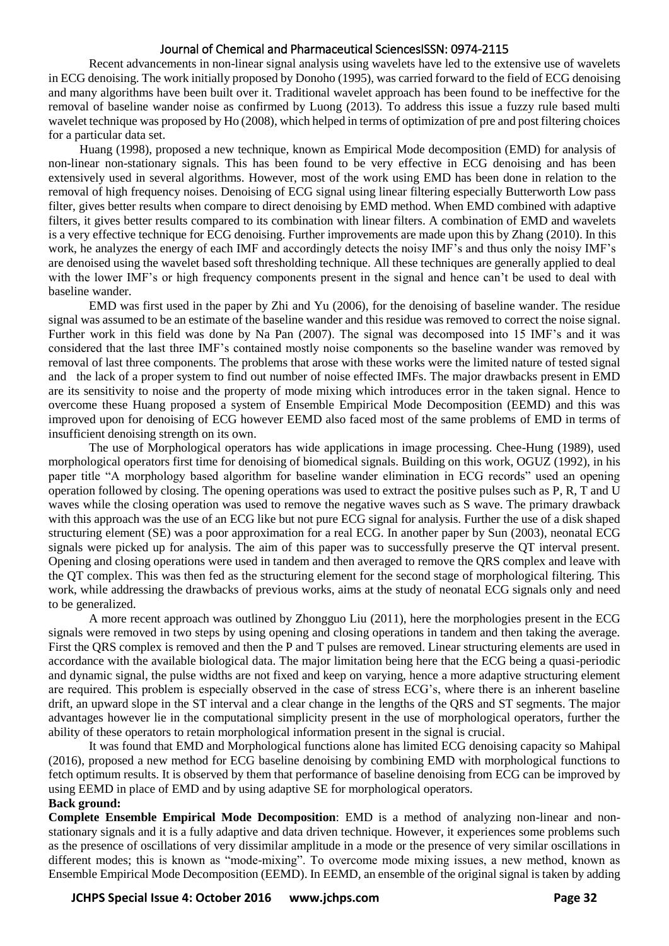#### Journal of Chemical and Pharmaceutical SciencesISSN: 0974-2115

Recent advancements in non-linear signal analysis using wavelets have led to the extensive use of wavelets in ECG denoising. The work initially proposed by Donoho (1995), was carried forward to the field of ECG denoising and many algorithms have been built over it. Traditional wavelet approach has been found to be ineffective for the removal of baseline wander noise as confirmed by Luong (2013). To address this issue a fuzzy rule based multi wavelet technique was proposed by Ho (2008), which helped in terms of optimization of pre and post filtering choices for a particular data set.

 Huang (1998), proposed a new technique, known as Empirical Mode decomposition (EMD) for analysis of non-linear non-stationary signals. This has been found to be very effective in ECG denoising and has been extensively used in several algorithms. However, most of the work using EMD has been done in relation to the removal of high frequency noises. Denoising of ECG signal using linear filtering especially Butterworth Low pass filter, gives better results when compare to direct denoising by EMD method. When EMD combined with adaptive filters, it gives better results compared to its combination with linear filters. A combination of EMD and wavelets is a very effective technique for ECG denoising. Further improvements are made upon this by Zhang (2010). In this work, he analyzes the energy of each IMF and accordingly detects the noisy IMF's and thus only the noisy IMF's are denoised using the wavelet based soft thresholding technique. All these techniques are generally applied to deal with the lower IMF's or high frequency components present in the signal and hence can't be used to deal with baseline wander.

EMD was first used in the paper by Zhi and Yu (2006), for the denoising of baseline wander. The residue signal was assumed to be an estimate of the baseline wander and this residue was removed to correct the noise signal. Further work in this field was done by Na Pan (2007). The signal was decomposed into 15 IMF's and it was considered that the last three IMF's contained mostly noise components so the baseline wander was removed by removal of last three components. The problems that arose with these works were the limited nature of tested signal and the lack of a proper system to find out number of noise effected IMFs. The major drawbacks present in EMD are its sensitivity to noise and the property of mode mixing which introduces error in the taken signal. Hence to overcome these Huang proposed a system of Ensemble Empirical Mode Decomposition (EEMD) and this was improved upon for denoising of ECG however EEMD also faced most of the same problems of EMD in terms of insufficient denoising strength on its own.

The use of Morphological operators has wide applications in image processing. Chee-Hung (1989), used morphological operators first time for denoising of biomedical signals. Building on this work, OGUZ (1992), in his paper title "A morphology based algorithm for baseline wander elimination in ECG records" used an opening operation followed by closing. The opening operations was used to extract the positive pulses such as P, R, T and U waves while the closing operation was used to remove the negative waves such as S wave. The primary drawback with this approach was the use of an ECG like but not pure ECG signal for analysis. Further the use of a disk shaped structuring element (SE) was a poor approximation for a real ECG. In another paper by Sun (2003), neonatal ECG signals were picked up for analysis. The aim of this paper was to successfully preserve the QT interval present. Opening and closing operations were used in tandem and then averaged to remove the QRS complex and leave with the QT complex. This was then fed as the structuring element for the second stage of morphological filtering. This work, while addressing the drawbacks of previous works, aims at the study of neonatal ECG signals only and need to be generalized.

A more recent approach was outlined by Zhongguo Liu (2011), here the morphologies present in the ECG signals were removed in two steps by using opening and closing operations in tandem and then taking the average. First the QRS complex is removed and then the P and T pulses are removed. Linear structuring elements are used in accordance with the available biological data. The major limitation being here that the ECG being a quasi-periodic and dynamic signal, the pulse widths are not fixed and keep on varying, hence a more adaptive structuring element are required. This problem is especially observed in the case of stress ECG's, where there is an inherent baseline drift, an upward slope in the ST interval and a clear change in the lengths of the QRS and ST segments. The major advantages however lie in the computational simplicity present in the use of morphological operators, further the ability of these operators to retain morphological information present in the signal is crucial.

It was found that EMD and Morphological functions alone has limited ECG denoising capacity so Mahipal (2016), proposed a new method for ECG baseline denoising by combining EMD with morphological functions to fetch optimum results. It is observed by them that performance of baseline denoising from ECG can be improved by using EEMD in place of EMD and by using adaptive SE for morphological operators.

#### **Back ground:**

**Complete Ensemble Empirical Mode Decomposition**: EMD is a method of analyzing non-linear and nonstationary signals and it is a fully adaptive and data driven technique. However, it experiences some problems such as the presence of oscillations of very dissimilar amplitude in a mode or the presence of very similar oscillations in different modes; this is known as "mode-mixing". To overcome mode mixing issues, a new method, known as Ensemble Empirical Mode Decomposition (EEMD). In EEMD, an ensemble of the original signal is taken by adding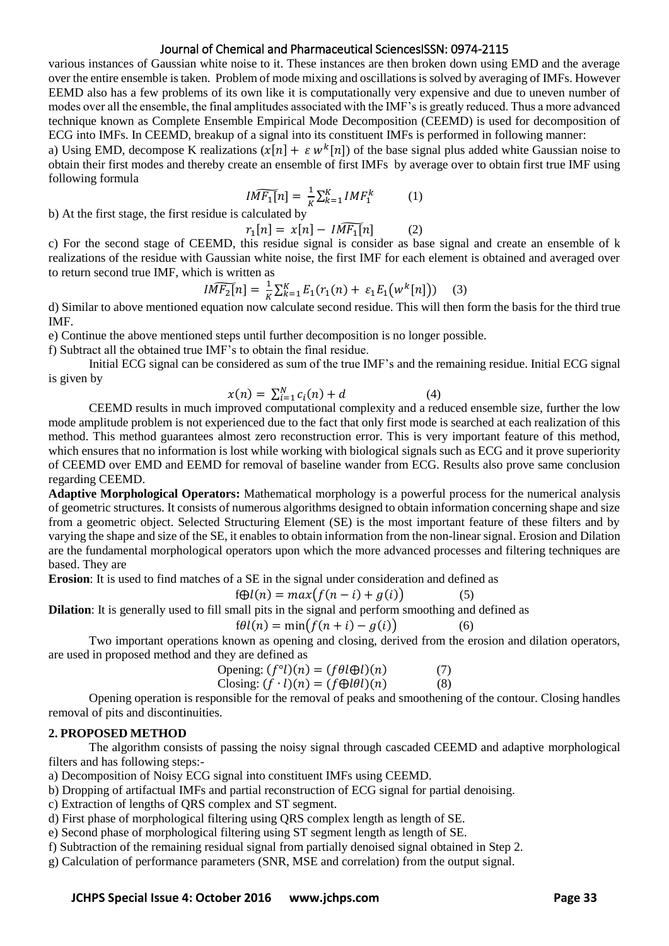## Journal of Chemical and Pharmaceutical SciencesISSN: 0974-2115

various instances of Gaussian white noise to it. These instances are then broken down using EMD and the average over the entire ensemble is taken. Problem of mode mixing and oscillations is solved by averaging of IMFs. However EEMD also has a few problems of its own like it is computationally very expensive and due to uneven number of modes over all the ensemble, the final amplitudes associated with the IMF's is greatly reduced. Thus a more advanced technique known as Complete Ensemble Empirical Mode Decomposition (CEEMD) is used for decomposition of ECG into IMFs. In CEEMD, breakup of a signal into its constituent IMFs is performed in following manner:

a) Using EMD, decompose K realizations  $(x[n] + \varepsilon w^k[n])$  of the base signal plus added white Gaussian noise to obtain their first modes and thereby create an ensemble of first IMFs by average over to obtain first true IMF using following formula

$$
I\widetilde{MF_1[n]} = \frac{1}{K} \sum_{k=1}^{K} IMF_1^k \tag{1}
$$

b) At the first stage, the first residue is calculated by

 $r_1[n] = x[n] - I\widetilde{MF_1[n]}$  (2)

c) For the second stage of CEEMD, this residue signal is consider as base signal and create an ensemble of k realizations of the residue with Gaussian white noise, the first IMF for each element is obtained and averaged over to return second true IMF, which is written as

$$
I\widetilde{MF_2[n]} = \frac{1}{K} \sum_{k=1}^{K} E_1(r_1(n) + \varepsilon_1 E_1(w^k[n])) \quad (3)
$$

d) Similar to above mentioned equation now calculate second residue. This will then form the basis for the third true IMF.

e) Continue the above mentioned steps until further decomposition is no longer possible.

f) Subtract all the obtained true IMF's to obtain the final residue.

Initial ECG signal can be considered as sum of the true IMF's and the remaining residue. Initial ECG signal is given by

$$
x(n) = \sum_{i=1}^{N} c_i(n) + d \tag{4}
$$

CEEMD results in much improved computational complexity and a reduced ensemble size, further the low mode amplitude problem is not experienced due to the fact that only first mode is searched at each realization of this method. This method guarantees almost zero reconstruction error. This is very important feature of this method, which ensures that no information is lost while working with biological signals such as ECG and it prove superiority of CEEMD over EMD and EEMD for removal of baseline wander from ECG. Results also prove same conclusion regarding CEEMD.

**Adaptive Morphological Operators:** Mathematical morphology is a powerful process for the numerical analysis of geometric structures. It consists of numerous algorithms designed to obtain information concerning shape and size from a geometric object. Selected Structuring Element (SE) is the most important feature of these filters and by varying the shape and size of the SE, it enables to obtain information from the non-linear signal. Erosion and Dilation are the fundamental morphological operators upon which the more advanced processes and filtering techniques are based. They are

**Erosion**: It is used to find matches of a SE in the signal under consideration and defined as

$$
f \bigoplus l(n) = max(f(n - i) + g(i)) \tag{5}
$$

**Dilation**: It is generally used to fill small pits in the signal and perform smoothing and defined as

$$
f\theta l(n) = \min(f(n+i) - g(i))
$$
 (6)

Two important operations known as opening and closing, derived from the erosion and dilation operators, are used in proposed method and they are defined as

$$
\text{Opening: } (f^{\circ}l)(n) = (f\theta l\oplus l)(n) \tag{7} \n\text{Closing: } (f \cdot l)(n) = (f\oplus l\theta l)(n) \tag{8}
$$

Opening operation is responsible for the removal of peaks and smoothening of the contour. Closing handles removal of pits and discontinuities.

#### **2. PROPOSED METHOD**

The algorithm consists of passing the noisy signal through cascaded CEEMD and adaptive morphological filters and has following steps:-

a) Decomposition of Noisy ECG signal into constituent IMFs using CEEMD.

b) Dropping of artifactual IMFs and partial reconstruction of ECG signal for partial denoising.

c) Extraction of lengths of QRS complex and ST segment.

d) First phase of morphological filtering using QRS complex length as length of SE.

e) Second phase of morphological filtering using ST segment length as length of SE.

f) Subtraction of the remaining residual signal from partially denoised signal obtained in Step 2.

g) Calculation of performance parameters (SNR, MSE and correlation) from the output signal.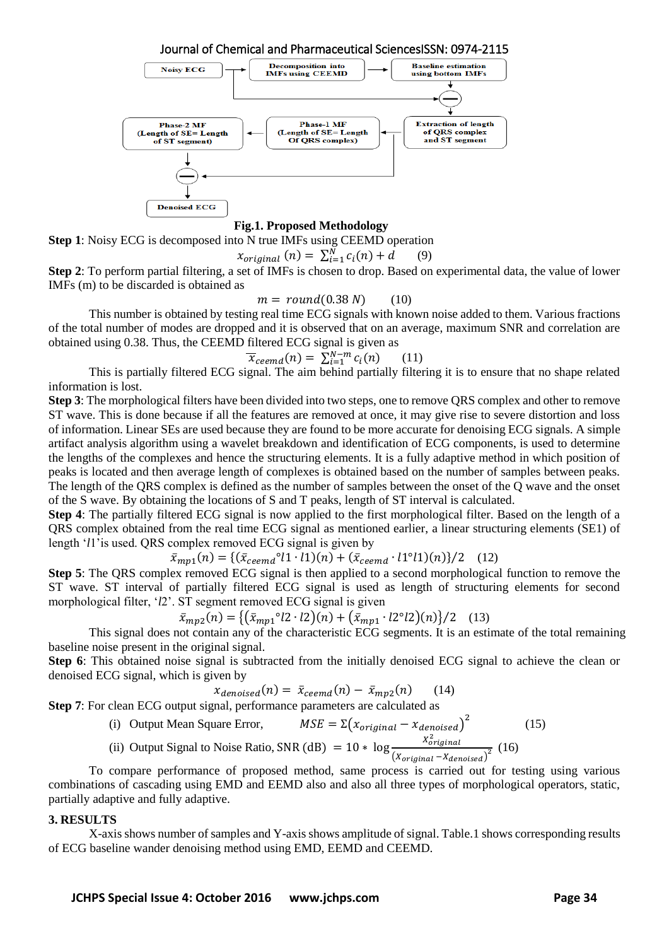

**Step 1**: Noisy ECG is decomposed into N true IMFs using CEEMD operation

$$
x_{original}(n) = \sum_{i=1}^{N} c_i(n) + d \qquad (9)
$$

**Step 2**: To perform partial filtering, a set of IMFs is chosen to drop. Based on experimental data, the value of lower IMFs (m) to be discarded is obtained as

$$
m = round(0.38 N) \qquad (10)
$$

This number is obtained by testing real time ECG signals with known noise added to them. Various fractions of the total number of modes are dropped and it is observed that on an average, maximum SNR and correlation are obtained using 0.38. Thus, the CEEMD filtered ECG signal is given as

$$
\overline{x}_{\text{ceemd}}(n) = \sum_{i=1}^{N-m} c_i(n) \qquad (11)
$$

This is partially filtered ECG signal. The aim behind partially filtering it is to ensure that no shape related information is lost.

**Step 3**: The morphological filters have been divided into two steps, one to remove QRS complex and other to remove ST wave. This is done because if all the features are removed at once, it may give rise to severe distortion and loss of information. Linear SEs are used because they are found to be more accurate for denoising ECG signals. A simple artifact analysis algorithm using a wavelet breakdown and identification of ECG components, is used to determine the lengths of the complexes and hence the structuring elements. It is a fully adaptive method in which position of peaks is located and then average length of complexes is obtained based on the number of samples between peaks. The length of the QRS complex is defined as the number of samples between the onset of the Q wave and the onset of the S wave. By obtaining the locations of S and T peaks, length of ST interval is calculated.

**Step 4**: The partially filtered ECG signal is now applied to the first morphological filter. Based on the length of a QRS complex obtained from the real time ECG signal as mentioned earlier, a linear structuring elements (SE1) of length '*l*1'is used. QRS complex removed ECG signal is given by

$$
\bar{x}_{mp1}(n) = \{ (\bar{x}_{ceemd}^{\circ} l1 \cdot l1)(n) + (\bar{x}_{ceemd} \cdot l1^{\circ}l1)(n) \}/2 \quad (12)
$$

**Step 5**: The QRS complex removed ECG signal is then applied to a second morphological function to remove the ST wave. ST interval of partially filtered ECG signal is used as length of structuring elements for second morphological filter, '*l*2'. ST segment removed ECG signal is given

$$
\bar{x}_{mp2}(n) = \left\{ (\bar{x}_{mp1}^{\circ}{}^{2} \cdot l2)(n) + (\bar{x}_{mp1}^{\circ}{}^{1} \cdot l2^{\circ}l2)(n) \right\} / 2 \quad (13)
$$

This signal does not contain any of the characteristic ECG segments. It is an estimate of the total remaining baseline noise present in the original signal.

**Step 6**: This obtained noise signal is subtracted from the initially denoised ECG signal to achieve the clean or denoised ECG signal, which is given by

$$
x_{denoised}(n) = \bar{x}_{ceemd}(n) - \bar{x}_{mp2}(n) \qquad (14)
$$

**Step 7**: For clean ECG output signal, performance parameters are calculated as

(i) Output Mean Square Error, 
$$
MSE = \Sigma(x_{original} - x_{denoised})^2
$$
 (15)

(ii) Output Signal to Noise Ratio, SNR (dB) =  $10 * \log \frac{70}{(X_{original} - X_{denoised})^2}$  (16) X<sup>2</sup>original

To compare performance of proposed method, same process is carried out for testing using various combinations of cascading using EMD and EEMD also and also all three types of morphological operators, static, partially adaptive and fully adaptive.

#### **3. RESULTS**

X-axis shows number of samples and Y-axis shows amplitude of signal. Table.1 shows corresponding results of ECG baseline wander denoising method using EMD, EEMD and CEEMD.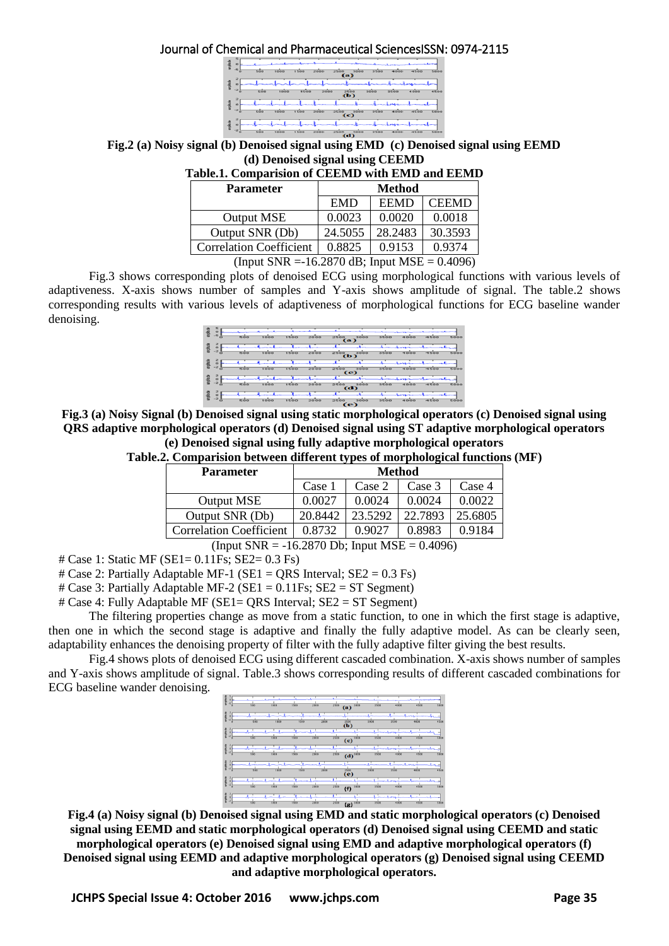Journal of Chemical and Pharmaceutical SciencesISSN: 0974-2115

| $-5$   | 500 | 1000 | 1500 | 2000 | <b>2500</b><br>(a) | 3000                      | 3500 | 4000 | 4500 | 5000 |
|--------|-----|------|------|------|--------------------|---------------------------|------|------|------|------|
| $-2$   | 500 | 1000 | 1500 | 2000 |                    | 2500                      | 3000 | 3500 | 4000 | 'nо  |
| $-2$   |     |      |      |      |                    | (b)                       |      |      |      |      |
|        | 500 | 1000 | 1500 | 2000 | 2500<br>(c)        | 3000                      | 3500 | 4000 | 4500 | 5000 |
| $\sim$ | 500 | 1000 | 1500 | 2000 | 2500               | 3000<br><b>STATISTICS</b> | 3500 | 4000 | 4500 | 5000 |

**Fig.2 (a) Noisy signal (b) Denoised signal using EMD (c) Denoised signal using EEMD (d) Denoised signal using CEEMD**

| <b>EMD</b> | <b>Method</b><br><b>EEMD</b> |              |
|------------|------------------------------|--------------|
|            |                              |              |
|            |                              | <b>CEEMD</b> |
| 0.0023     | 0.0020                       | 0.0018       |
| 24.5055    | 28.2483                      | 30.3593      |
| 0.8825     | 0.9153                       | 0.9374       |
|            |                              |              |

(Input SNR =  $-16.2870$  dB; Input MSE = 0.4096)

Fig.3 shows corresponding plots of denoised ECG using morphological functions with various levels of adaptiveness. X-axis shows number of samples and Y-axis shows amplitude of signal. The table.2 shows corresponding results with various levels of adaptiveness of morphological functions for ECG baseline wander denoising.

| 횲  | o<br>-5   |     |      |      |      |                    |             |      |         |         |      |
|----|-----------|-----|------|------|------|--------------------|-------------|------|---------|---------|------|
|    | $\sigma$  | 500 | 1000 | 1500 | 2000 | 2500<br>(a)        | 3000        | 3500 |         | 4500    | 5000 |
| 죓  |           |     |      |      |      |                    |             |      |         |         |      |
|    | $-2$<br>ō | 500 | 1000 | 1500 | 2000 | 2500<br>(b)        | 3000        | 3500 | 4000    | $-500$  | 5000 |
| 흞  |           |     |      |      |      |                    |             |      |         |         |      |
|    | $-2$<br>õ | 500 | 1000 | 1500 | 2000 | 2500<br>(c)        | 3000        | 3500 | $-1000$ | 4500    | 5000 |
| 意味 |           |     |      |      |      |                    |             |      |         |         |      |
|    | $-2$<br>a | 500 | 1000 | 1500 | 2000 | 2500               | 3000<br>(d) | 3500 |         | $-1500$ | 5000 |
| 죓  | o         |     |      |      |      |                    |             |      |         |         |      |
|    | $-2$<br>õ | 500 | 1000 | 1500 | 2000 | 2500<br><b>(e)</b> | 3000        | 3500 | $A$ OCH | 4500    | 5000 |

**Fig.3 (a) Noisy Signal (b) Denoised signal using static morphological operators (c) Denoised signal using QRS adaptive morphological operators (d) Denoised signal using ST adaptive morphological operators (e) Denoised signal using fully adaptive morphological operators**

**Table.2. Comparision between different types of morphological functions (MF)**

| <b>Parameter</b>               | Method  |         |         |         |  |  |  |
|--------------------------------|---------|---------|---------|---------|--|--|--|
|                                | Case 1  | Case 2  | Case 3  | Case 4  |  |  |  |
| Output MSE                     | 0.0027  | 0.0024  | 0.0024  | 0.0022. |  |  |  |
| Output SNR (Db)                | 20.8442 | 23.5292 | 22.7893 | 25.6805 |  |  |  |
| <b>Correlation Coefficient</b> | 0.8732  | 0.9027  | 0.8983  | 0.9184  |  |  |  |

(Input  $SNR = -16.2870$  Db; Input  $MSE = 0.4096$ )

# Case 1: Static MF (SE1= 0.11Fs; SE2= 0.3 Fs)

# Case 2: Partially Adaptable MF-1 (SE1 = ORS Interval;  $SE2 = 0.3$  Fs)

# Case 3: Partially Adaptable MF-2 ( $SE1 = 0.11$ Fs;  $SE2 = ST$  Segment)

# Case 4: Fully Adaptable MF (SE1= QRS Interval; SE2 = ST Segment)

The filtering properties change as move from a static function, to one in which the first stage is adaptive, then one in which the second stage is adaptive and finally the fully adaptive model. As can be clearly seen, adaptability enhances the denoising property of filter with the fully adaptive filter giving the best results.

Fig.4 shows plots of denoised ECG using different cascaded combination. X-axis shows number of samples and Y-axis shows amplitude of signal. Table.3 shows corresponding results of different cascaded combinations for ECG baseline wander denoising.

|   |         | 500 | 1000 | 1500 | 2000 | 2500 | 3000<br>(a)                                      | 3500 | 4000 | 4500 | 5400 |
|---|---------|-----|------|------|------|------|--------------------------------------------------|------|------|------|------|
| 궅 | A.      | 500 | 1000 | 1500 | 2000 |      |                                                  | 3000 | 3500 | 4000 | 4500 |
|   |         |     |      |      |      |      | $\ddot{\mathbf{a}}$                              |      |      |      |      |
|   |         | 500 | 1000 | 1500 | 2000 | 2500 | $(c)$ <sup>3000</sup>                            | 3500 |      | 4500 | 5001 |
|   | $^{+2}$ | 500 | 1000 | 1500 | 2000 | 2500 | $(d)$ <sup>3000</sup>                            | 3500 |      | 4500 | 5000 |
| ₽ | ×.      | 500 | 1000 | 1500 | 2000 |      | $\overline{\overset{\text{2500}}{(\mathbf{e})}}$ | 3000 | 3500 | 4000 | 4500 |
| 쿹 | ×.      | 500 | 1000 | 1500 | 2000 | 2500 | 3000                                             | 3500 |      | 4500 | 500  |
|   |         |     |      |      |      |      | (f)                                              |      |      |      |      |
|   |         | 500 | 1000 | 1500 | 2000 | 2500 | $7 - 13000$                                      | 3500 | 4000 | 4500 | 5001 |

**Fig.4 (a) Noisy signal (b) Denoised signal using EMD and static morphological operators (c) Denoised signal using EEMD and static morphological operators (d) Denoised signal using CEEMD and static morphological operators (e) Denoised signal using EMD and adaptive morphological operators (f) Denoised signal using EEMD and adaptive morphological operators (g) Denoised signal using CEEMD and adaptive morphological operators.**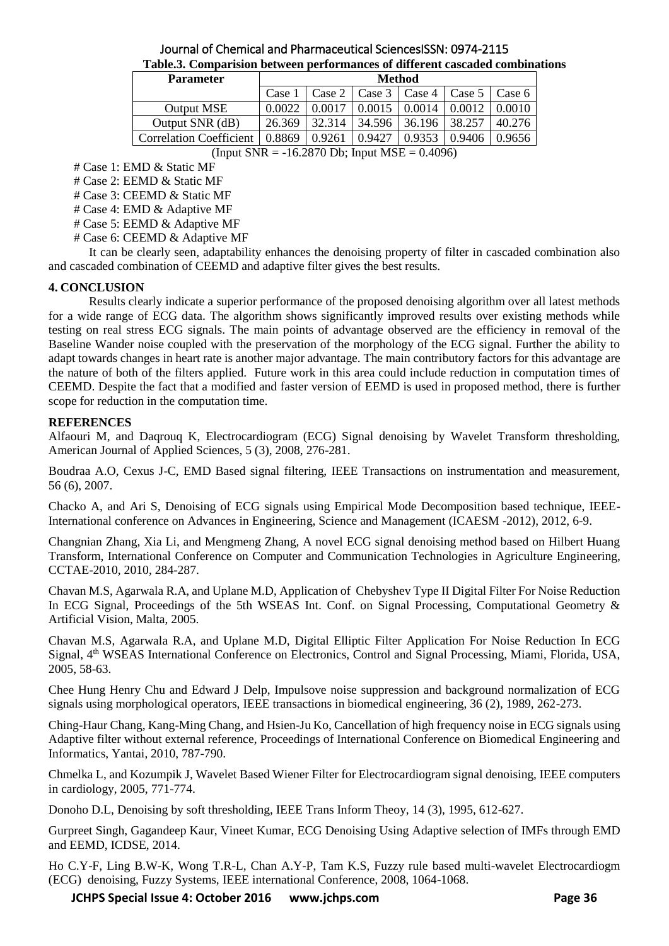| Journal of Chemical and Pharmaceutical Sciences SSN: 0974-2115               |  |
|------------------------------------------------------------------------------|--|
| Table.3. Comparision between performances of different cascaded combinations |  |

| <b>Parameter</b>               | Method            |        |        |        |        |        |  |  |  |  |
|--------------------------------|-------------------|--------|--------|--------|--------|--------|--|--|--|--|
|                                | Case <sup>'</sup> | Case 2 | Case 3 | Case 4 | Case 5 | Case 6 |  |  |  |  |
| Output MSE                     | ን 002             |        | 0.0015 |        |        |        |  |  |  |  |
| Output SNR (dB)                | 26.369            | 32.314 | 34.596 | 36.196 | 38.257 |        |  |  |  |  |
| <b>Correlation Coefficient</b> | 0.8869            | 0.9261 | 0.9427 |        | ).9406 | 0.9656 |  |  |  |  |
|                                |                   |        |        |        |        |        |  |  |  |  |

(Input  $SNR = -16.2870$  Db; Input  $MSE = 0.4096$ )

# Case 1: EMD & Static MF

# Case 2: EEMD & Static MF

# Case 3: CEEMD & Static MF

# Case 4: EMD & Adaptive MF

# Case 5: EEMD & Adaptive MF

# Case 6: CEEMD & Adaptive MF

It can be clearly seen, adaptability enhances the denoising property of filter in cascaded combination also and cascaded combination of CEEMD and adaptive filter gives the best results.

## **4. CONCLUSION**

Results clearly indicate a superior performance of the proposed denoising algorithm over all latest methods for a wide range of ECG data. The algorithm shows significantly improved results over existing methods while testing on real stress ECG signals. The main points of advantage observed are the efficiency in removal of the Baseline Wander noise coupled with the preservation of the morphology of the ECG signal. Further the ability to adapt towards changes in heart rate is another major advantage. The main contributory factors for this advantage are the nature of both of the filters applied. Future work in this area could include reduction in computation times of CEEMD. Despite the fact that a modified and faster version of EEMD is used in proposed method, there is further scope for reduction in the computation time.

#### **REFERENCES**

Alfaouri M, and Daqrouq K, Electrocardiogram (ECG) Signal denoising by Wavelet Transform thresholding, American Journal of Applied Sciences, 5 (3), 2008, 276-281.

Boudraa A.O, Cexus J-C, EMD Based signal filtering, IEEE Transactions on instrumentation and measurement, 56 (6), 2007.

Chacko A, and Ari S, Denoising of ECG signals using Empirical Mode Decomposition based technique, IEEE-International conference on Advances in Engineering, Science and Management (ICAESM -2012), 2012, 6-9.

Changnian Zhang, Xia Li, and Mengmeng Zhang, A novel ECG signal denoising method based on Hilbert Huang Transform, International Conference on Computer and Communication Technologies in Agriculture Engineering, CCTAE-2010, 2010, 284-287.

Chavan M.S, Agarwala R.A, and Uplane M.D, Application of Chebyshev Type II Digital Filter For Noise Reduction In ECG Signal, Proceedings of the 5th WSEAS Int. Conf. on Signal Processing, Computational Geometry & Artificial Vision, Malta, 2005.

Chavan M.S, Agarwala R.A, and Uplane M.D, Digital Elliptic Filter Application For Noise Reduction In ECG Signal, 4th WSEAS International Conference on Electronics, Control and Signal Processing, Miami, Florida, USA, 2005, 58-63.

Chee Hung Henry Chu and Edward J Delp, Impulsove noise suppression and background normalization of ECG signals using morphological operators, IEEE transactions in biomedical engineering, 36 (2), 1989, 262-273.

Ching-Haur Chang, Kang-Ming Chang, and Hsien-Ju Ko, Cancellation of high frequency noise in ECG signals using Adaptive filter without external reference, Proceedings of International Conference on Biomedical Engineering and Informatics, Yantai, 2010, 787-790.

Chmelka L, and Kozumpik J, Wavelet Based Wiener Filter for Electrocardiogram signal denoising, IEEE computers in cardiology, 2005, 771-774.

Donoho D.L, Denoising by soft thresholding, IEEE Trans Inform Theoy, 14 (3), 1995, 612-627.

Gurpreet Singh, Gagandeep Kaur, Vineet Kumar, ECG Denoising Using Adaptive selection of IMFs through EMD and EEMD, ICDSE, 2014.

Ho C.Y-F, Ling B.W-K, Wong T.R-L, Chan A.Y-P, Tam K.S, Fuzzy rule based multi-wavelet Electrocardiogm (ECG) denoising, Fuzzy Systems, IEEE international Conference, 2008, 1064-1068.

**JCHPS Special Issue 4: October 2016 www.jchps.com Page 36**